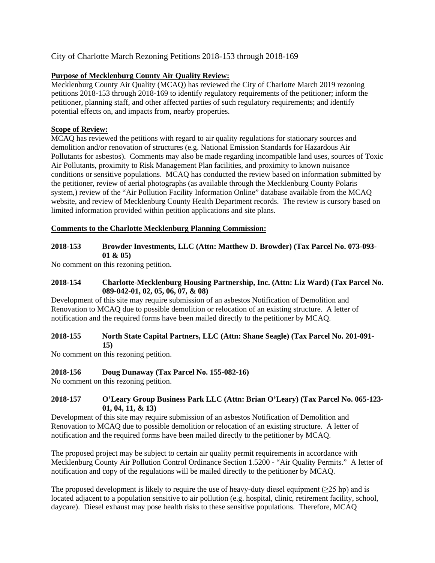# City of Charlotte March Rezoning Petitions 2018-153 through 2018-169

## **Purpose of Mecklenburg County Air Quality Review:**

Mecklenburg County Air Quality (MCAQ) has reviewed the City of Charlotte March 2019 rezoning petitions 2018-153 through 2018-169 to identify regulatory requirements of the petitioner; inform the petitioner, planning staff, and other affected parties of such regulatory requirements; and identify potential effects on, and impacts from, nearby properties.

### **Scope of Review:**

MCAQ has reviewed the petitions with regard to air quality regulations for stationary sources and demolition and/or renovation of structures (e.g. National Emission Standards for Hazardous Air Pollutants for asbestos). Comments may also be made regarding incompatible land uses, sources of Toxic Air Pollutants, proximity to Risk Management Plan facilities, and proximity to known nuisance conditions or sensitive populations. MCAQ has conducted the review based on information submitted by the petitioner, review of aerial photographs (as available through the Mecklenburg County Polaris system,) review of the "Air Pollution Facility Information Online" database available from the MCAQ website, and review of Mecklenburg County Health Department records. The review is cursory based on limited information provided within petition applications and site plans.

#### **Comments to the Charlotte Mecklenburg Planning Commission:**

### **2018-153 Browder Investments, LLC (Attn: Matthew D. Browder) (Tax Parcel No. 073-093- 01 & 05)**

No comment on this rezoning petition.

### **2018-154 Charlotte-Mecklenburg Housing Partnership, Inc. (Attn: Liz Ward) (Tax Parcel No. 089-042-01, 02, 05, 06, 07, & 08)**

Development of this site may require submission of an asbestos Notification of Demolition and Renovation to MCAQ due to possible demolition or relocation of an existing structure. A letter of notification and the required forms have been mailed directly to the petitioner by MCAQ.

#### **2018-155 North State Capital Partners, LLC (Attn: Shane Seagle) (Tax Parcel No. 201-091- 15)**

No comment on this rezoning petition.

#### **2018-156 Doug Dunaway (Tax Parcel No. 155-082-16)**

No comment on this rezoning petition.

### **2018-157 O'Leary Group Business Park LLC (Attn: Brian O'Leary) (Tax Parcel No. 065-123- 01, 04, 11, & 13)**

Development of this site may require submission of an asbestos Notification of Demolition and Renovation to MCAQ due to possible demolition or relocation of an existing structure. A letter of notification and the required forms have been mailed directly to the petitioner by MCAQ.

The proposed project may be subject to certain air quality permit requirements in accordance with Mecklenburg County Air Pollution Control Ordinance Section 1.5200 - "Air Quality Permits." A letter of notification and copy of the regulations will be mailed directly to the petitioner by MCAQ.

The proposed development is likely to require the use of heavy-duty diesel equipment ( $\geq 25$  hp) and is located adjacent to a population sensitive to air pollution (e.g. hospital, clinic, retirement facility, school, daycare). Diesel exhaust may pose health risks to these sensitive populations. Therefore, MCAQ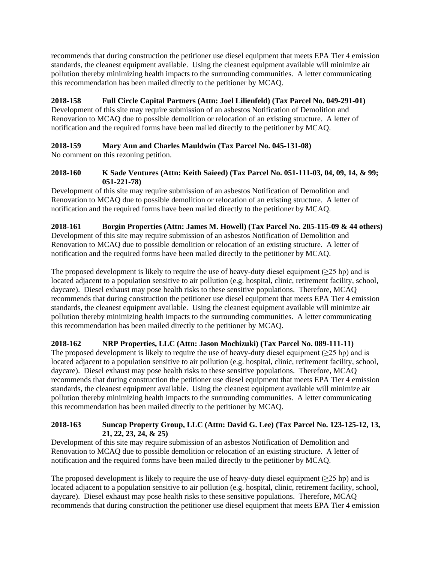recommends that during construction the petitioner use diesel equipment that meets EPA Tier 4 emission standards, the cleanest equipment available. Using the cleanest equipment available will minimize air pollution thereby minimizing health impacts to the surrounding communities. A letter communicating this recommendation has been mailed directly to the petitioner by MCAQ.

# **2018-158 Full Circle Capital Partners (Attn: Joel Lilienfeld) (Tax Parcel No. 049-291-01)**

Development of this site may require submission of an asbestos Notification of Demolition and Renovation to MCAQ due to possible demolition or relocation of an existing structure. A letter of notification and the required forms have been mailed directly to the petitioner by MCAQ.

# **2018-159 Mary Ann and Charles Mauldwin (Tax Parcel No. 045-131-08)**

No comment on this rezoning petition.

### **2018-160 K Sade Ventures (Attn: Keith Saieed) (Tax Parcel No. 051-111-03, 04, 09, 14, & 99; 051-221-78)**

Development of this site may require submission of an asbestos Notification of Demolition and Renovation to MCAQ due to possible demolition or relocation of an existing structure. A letter of notification and the required forms have been mailed directly to the petitioner by MCAQ.

#### **2018-161 Borgin Properties (Attn: James M. Howell) (Tax Parcel No. 205-115-09 & 44 others)** Development of this site may require submission of an asbestos Notification of Demolition and Renovation to MCAQ due to possible demolition or relocation of an existing structure. A letter of notification and the required forms have been mailed directly to the petitioner by MCAQ.

The proposed development is likely to require the use of heavy-duty diesel equipment ( $\geq 25$  hp) and is located adjacent to a population sensitive to air pollution (e.g. hospital, clinic, retirement facility, school, daycare). Diesel exhaust may pose health risks to these sensitive populations. Therefore, MCAQ recommends that during construction the petitioner use diesel equipment that meets EPA Tier 4 emission standards, the cleanest equipment available. Using the cleanest equipment available will minimize air pollution thereby minimizing health impacts to the surrounding communities. A letter communicating this recommendation has been mailed directly to the petitioner by MCAQ.

## **2018-162 NRP Properties, LLC (Attn: Jason Mochizuki) (Tax Parcel No. 089-111-11)**

The proposed development is likely to require the use of heavy-duty diesel equipment ( $\geq 25$  hp) and is located adjacent to a population sensitive to air pollution (e.g. hospital, clinic, retirement facility, school, daycare). Diesel exhaust may pose health risks to these sensitive populations. Therefore, MCAQ recommends that during construction the petitioner use diesel equipment that meets EPA Tier 4 emission standards, the cleanest equipment available. Using the cleanest equipment available will minimize air pollution thereby minimizing health impacts to the surrounding communities. A letter communicating this recommendation has been mailed directly to the petitioner by MCAQ.

### **2018-163 Suncap Property Group, LLC (Attn: David G. Lee) (Tax Parcel No. 123-125-12, 13, 21, 22, 23, 24, & 25)**

Development of this site may require submission of an asbestos Notification of Demolition and Renovation to MCAQ due to possible demolition or relocation of an existing structure. A letter of notification and the required forms have been mailed directly to the petitioner by MCAQ.

The proposed development is likely to require the use of heavy-duty diesel equipment ( $\geq 25$  hp) and is located adjacent to a population sensitive to air pollution (e.g. hospital, clinic, retirement facility, school, daycare). Diesel exhaust may pose health risks to these sensitive populations. Therefore, MCAQ recommends that during construction the petitioner use diesel equipment that meets EPA Tier 4 emission